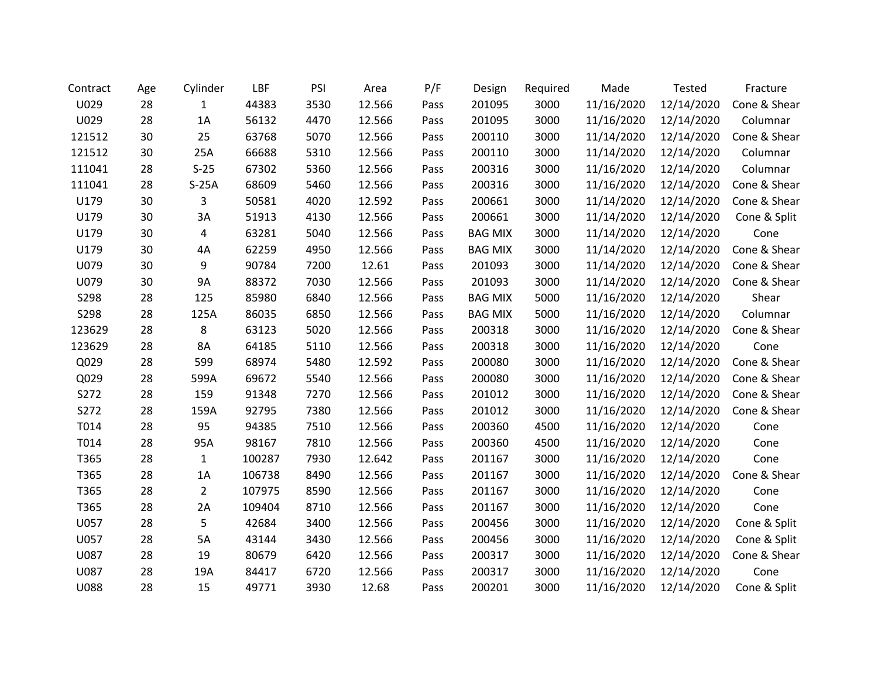| Contract    | Age | Cylinder       | LBF    | PSI  | Area   | P/F  | Design         | Required | Made       | Tested     | Fracture     |
|-------------|-----|----------------|--------|------|--------|------|----------------|----------|------------|------------|--------------|
| U029        | 28  | $\mathbf{1}$   | 44383  | 3530 | 12.566 | Pass | 201095         | 3000     | 11/16/2020 | 12/14/2020 | Cone & Shear |
| U029        | 28  | 1A             | 56132  | 4470 | 12.566 | Pass | 201095         | 3000     | 11/16/2020 | 12/14/2020 | Columnar     |
| 121512      | 30  | 25             | 63768  | 5070 | 12.566 | Pass | 200110         | 3000     | 11/14/2020 | 12/14/2020 | Cone & Shear |
| 121512      | 30  | 25A            | 66688  | 5310 | 12.566 | Pass | 200110         | 3000     | 11/14/2020 | 12/14/2020 | Columnar     |
| 111041      | 28  | $S-25$         | 67302  | 5360 | 12.566 | Pass | 200316         | 3000     | 11/16/2020 | 12/14/2020 | Columnar     |
| 111041      | 28  | $S-25A$        | 68609  | 5460 | 12.566 | Pass | 200316         | 3000     | 11/16/2020 | 12/14/2020 | Cone & Shear |
| U179        | 30  | 3              | 50581  | 4020 | 12.592 | Pass | 200661         | 3000     | 11/14/2020 | 12/14/2020 | Cone & Shear |
| U179        | 30  | 3A             | 51913  | 4130 | 12.566 | Pass | 200661         | 3000     | 11/14/2020 | 12/14/2020 | Cone & Split |
| U179        | 30  | 4              | 63281  | 5040 | 12.566 | Pass | <b>BAG MIX</b> | 3000     | 11/14/2020 | 12/14/2020 | Cone         |
| U179        | 30  | 4A             | 62259  | 4950 | 12.566 | Pass | <b>BAG MIX</b> | 3000     | 11/14/2020 | 12/14/2020 | Cone & Shear |
| U079        | 30  | 9              | 90784  | 7200 | 12.61  | Pass | 201093         | 3000     | 11/14/2020 | 12/14/2020 | Cone & Shear |
| U079        | 30  | <b>9A</b>      | 88372  | 7030 | 12.566 | Pass | 201093         | 3000     | 11/14/2020 | 12/14/2020 | Cone & Shear |
| S298        | 28  | 125            | 85980  | 6840 | 12.566 | Pass | <b>BAG MIX</b> | 5000     | 11/16/2020 | 12/14/2020 | Shear        |
| S298        | 28  | 125A           | 86035  | 6850 | 12.566 | Pass | <b>BAG MIX</b> | 5000     | 11/16/2020 | 12/14/2020 | Columnar     |
| 123629      | 28  | 8              | 63123  | 5020 | 12.566 | Pass | 200318         | 3000     | 11/16/2020 | 12/14/2020 | Cone & Shear |
| 123629      | 28  | 8A             | 64185  | 5110 | 12.566 | Pass | 200318         | 3000     | 11/16/2020 | 12/14/2020 | Cone         |
| Q029        | 28  | 599            | 68974  | 5480 | 12.592 | Pass | 200080         | 3000     | 11/16/2020 | 12/14/2020 | Cone & Shear |
| Q029        | 28  | 599A           | 69672  | 5540 | 12.566 | Pass | 200080         | 3000     | 11/16/2020 | 12/14/2020 | Cone & Shear |
| S272        | 28  | 159            | 91348  | 7270 | 12.566 | Pass | 201012         | 3000     | 11/16/2020 | 12/14/2020 | Cone & Shear |
| S272        | 28  | 159A           | 92795  | 7380 | 12.566 | Pass | 201012         | 3000     | 11/16/2020 | 12/14/2020 | Cone & Shear |
| T014        | 28  | 95             | 94385  | 7510 | 12.566 | Pass | 200360         | 4500     | 11/16/2020 | 12/14/2020 | Cone         |
| T014        | 28  | 95A            | 98167  | 7810 | 12.566 | Pass | 200360         | 4500     | 11/16/2020 | 12/14/2020 | Cone         |
| T365        | 28  | $\mathbf{1}$   | 100287 | 7930 | 12.642 | Pass | 201167         | 3000     | 11/16/2020 | 12/14/2020 | Cone         |
| T365        | 28  | 1A             | 106738 | 8490 | 12.566 | Pass | 201167         | 3000     | 11/16/2020 | 12/14/2020 | Cone & Shear |
| T365        | 28  | $\overline{2}$ | 107975 | 8590 | 12.566 | Pass | 201167         | 3000     | 11/16/2020 | 12/14/2020 | Cone         |
| T365        | 28  | 2A             | 109404 | 8710 | 12.566 | Pass | 201167         | 3000     | 11/16/2020 | 12/14/2020 | Cone         |
| U057        | 28  | 5              | 42684  | 3400 | 12.566 | Pass | 200456         | 3000     | 11/16/2020 | 12/14/2020 | Cone & Split |
| U057        | 28  | 5A             | 43144  | 3430 | 12.566 | Pass | 200456         | 3000     | 11/16/2020 | 12/14/2020 | Cone & Split |
| U087        | 28  | 19             | 80679  | 6420 | 12.566 | Pass | 200317         | 3000     | 11/16/2020 | 12/14/2020 | Cone & Shear |
| U087        | 28  | 19A            | 84417  | 6720 | 12.566 | Pass | 200317         | 3000     | 11/16/2020 | 12/14/2020 | Cone         |
| <b>U088</b> | 28  | 15             | 49771  | 3930 | 12.68  | Pass | 200201         | 3000     | 11/16/2020 | 12/14/2020 | Cone & Split |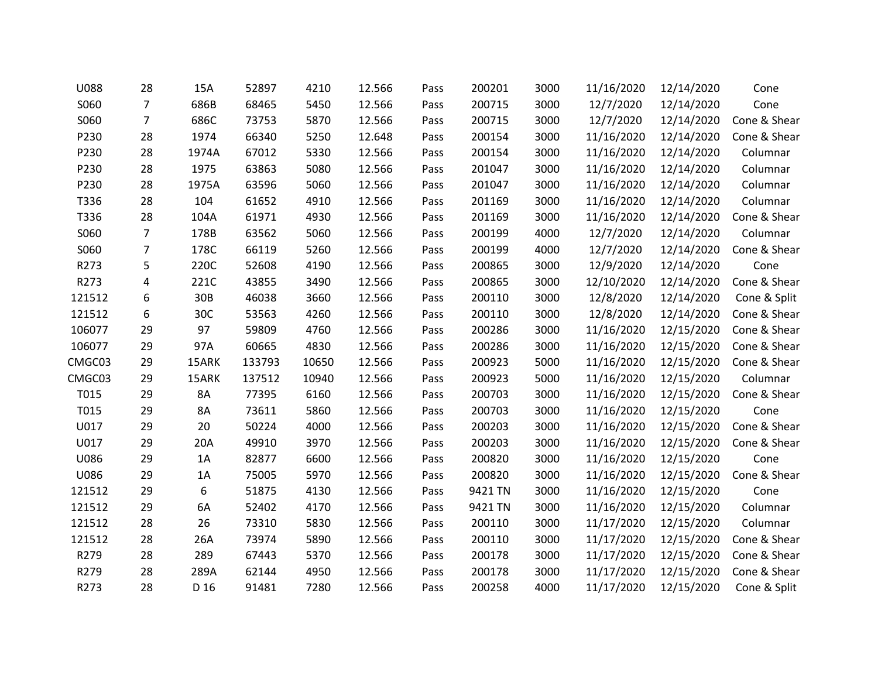| U088   | 28             | 15A   | 52897  | 4210  | 12.566 | Pass | 200201  | 3000 | 11/16/2020 | 12/14/2020 | Cone         |
|--------|----------------|-------|--------|-------|--------|------|---------|------|------------|------------|--------------|
| S060   | $\overline{7}$ | 686B  | 68465  | 5450  | 12.566 | Pass | 200715  | 3000 | 12/7/2020  | 12/14/2020 | Cone         |
| S060   | $\overline{7}$ | 686C  | 73753  | 5870  | 12.566 | Pass | 200715  | 3000 | 12/7/2020  | 12/14/2020 | Cone & Shear |
| P230   | 28             | 1974  | 66340  | 5250  | 12.648 | Pass | 200154  | 3000 | 11/16/2020 | 12/14/2020 | Cone & Shear |
| P230   | 28             | 1974A | 67012  | 5330  | 12.566 | Pass | 200154  | 3000 | 11/16/2020 | 12/14/2020 | Columnar     |
| P230   | 28             | 1975  | 63863  | 5080  | 12.566 | Pass | 201047  | 3000 | 11/16/2020 | 12/14/2020 | Columnar     |
| P230   | 28             | 1975A | 63596  | 5060  | 12.566 | Pass | 201047  | 3000 | 11/16/2020 | 12/14/2020 | Columnar     |
| T336   | 28             | 104   | 61652  | 4910  | 12.566 | Pass | 201169  | 3000 | 11/16/2020 | 12/14/2020 | Columnar     |
| T336   | 28             | 104A  | 61971  | 4930  | 12.566 | Pass | 201169  | 3000 | 11/16/2020 | 12/14/2020 | Cone & Shear |
| S060   | $\overline{7}$ | 178B  | 63562  | 5060  | 12.566 | Pass | 200199  | 4000 | 12/7/2020  | 12/14/2020 | Columnar     |
| S060   | $\overline{7}$ | 178C  | 66119  | 5260  | 12.566 | Pass | 200199  | 4000 | 12/7/2020  | 12/14/2020 | Cone & Shear |
| R273   | 5              | 220C  | 52608  | 4190  | 12.566 | Pass | 200865  | 3000 | 12/9/2020  | 12/14/2020 | Cone         |
| R273   | 4              | 221C  | 43855  | 3490  | 12.566 | Pass | 200865  | 3000 | 12/10/2020 | 12/14/2020 | Cone & Shear |
| 121512 | 6              | 30B   | 46038  | 3660  | 12.566 | Pass | 200110  | 3000 | 12/8/2020  | 12/14/2020 | Cone & Split |
| 121512 | 6              | 30C   | 53563  | 4260  | 12.566 | Pass | 200110  | 3000 | 12/8/2020  | 12/14/2020 | Cone & Shear |
| 106077 | 29             | 97    | 59809  | 4760  | 12.566 | Pass | 200286  | 3000 | 11/16/2020 | 12/15/2020 | Cone & Shear |
| 106077 | 29             | 97A   | 60665  | 4830  | 12.566 | Pass | 200286  | 3000 | 11/16/2020 | 12/15/2020 | Cone & Shear |
| CMGC03 | 29             | 15ARK | 133793 | 10650 | 12.566 | Pass | 200923  | 5000 | 11/16/2020 | 12/15/2020 | Cone & Shear |
| CMGC03 | 29             | 15ARK | 137512 | 10940 | 12.566 | Pass | 200923  | 5000 | 11/16/2020 | 12/15/2020 | Columnar     |
| T015   | 29             | 8A    | 77395  | 6160  | 12.566 | Pass | 200703  | 3000 | 11/16/2020 | 12/15/2020 | Cone & Shear |
| T015   | 29             | 8A    | 73611  | 5860  | 12.566 | Pass | 200703  | 3000 | 11/16/2020 | 12/15/2020 | Cone         |
| U017   | 29             | 20    | 50224  | 4000  | 12.566 | Pass | 200203  | 3000 | 11/16/2020 | 12/15/2020 | Cone & Shear |
| U017   | 29             | 20A   | 49910  | 3970  | 12.566 | Pass | 200203  | 3000 | 11/16/2020 | 12/15/2020 | Cone & Shear |
| U086   | 29             | 1A    | 82877  | 6600  | 12.566 | Pass | 200820  | 3000 | 11/16/2020 | 12/15/2020 | Cone         |
| U086   | 29             | 1A    | 75005  | 5970  | 12.566 | Pass | 200820  | 3000 | 11/16/2020 | 12/15/2020 | Cone & Shear |
| 121512 | 29             | 6     | 51875  | 4130  | 12.566 | Pass | 9421 TN | 3000 | 11/16/2020 | 12/15/2020 | Cone         |
| 121512 | 29             | 6A    | 52402  | 4170  | 12.566 | Pass | 9421 TN | 3000 | 11/16/2020 | 12/15/2020 | Columnar     |
| 121512 | 28             | 26    | 73310  | 5830  | 12.566 | Pass | 200110  | 3000 | 11/17/2020 | 12/15/2020 | Columnar     |
| 121512 | 28             | 26A   | 73974  | 5890  | 12.566 | Pass | 200110  | 3000 | 11/17/2020 | 12/15/2020 | Cone & Shear |
| R279   | 28             | 289   | 67443  | 5370  | 12.566 | Pass | 200178  | 3000 | 11/17/2020 | 12/15/2020 | Cone & Shear |
| R279   | 28             | 289A  | 62144  | 4950  | 12.566 | Pass | 200178  | 3000 | 11/17/2020 | 12/15/2020 | Cone & Shear |
| R273   | 28             | D 16  | 91481  | 7280  | 12.566 | Pass | 200258  | 4000 | 11/17/2020 | 12/15/2020 | Cone & Split |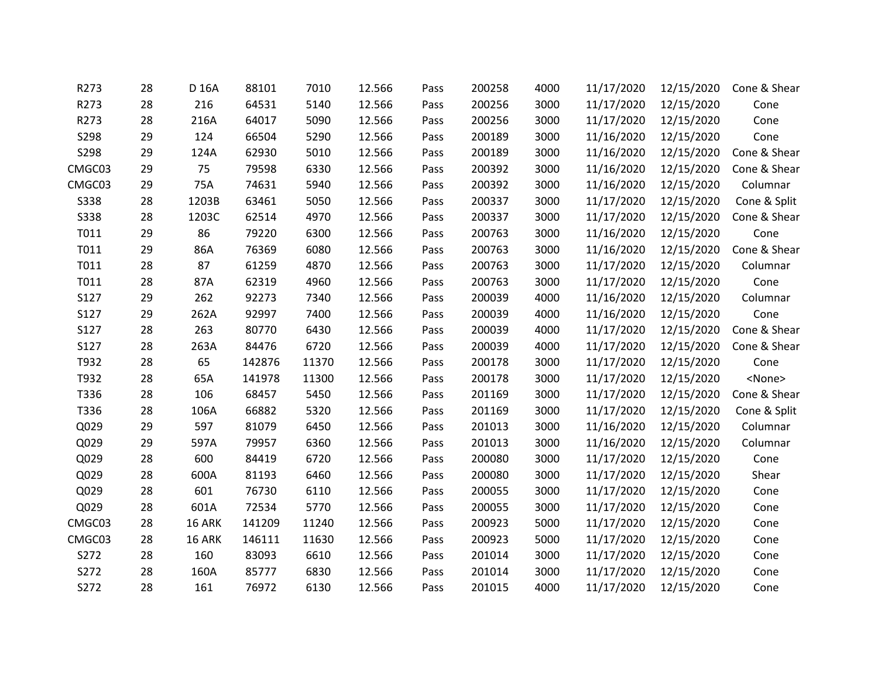| R273        | 28 | D 16A  | 88101  | 7010  | 12.566 | Pass | 200258 | 4000 | 11/17/2020 | 12/15/2020 | Cone & Shear  |
|-------------|----|--------|--------|-------|--------|------|--------|------|------------|------------|---------------|
| R273        | 28 | 216    | 64531  | 5140  | 12.566 | Pass | 200256 | 3000 | 11/17/2020 | 12/15/2020 | Cone          |
| R273        | 28 | 216A   | 64017  | 5090  | 12.566 | Pass | 200256 | 3000 | 11/17/2020 | 12/15/2020 | Cone          |
| S298        | 29 | 124    | 66504  | 5290  | 12.566 | Pass | 200189 | 3000 | 11/16/2020 | 12/15/2020 | Cone          |
| S298        | 29 | 124A   | 62930  | 5010  | 12.566 | Pass | 200189 | 3000 | 11/16/2020 | 12/15/2020 | Cone & Shear  |
| CMGC03      | 29 | 75     | 79598  | 6330  | 12.566 | Pass | 200392 | 3000 | 11/16/2020 | 12/15/2020 | Cone & Shear  |
| CMGC03      | 29 | 75A    | 74631  | 5940  | 12.566 | Pass | 200392 | 3000 | 11/16/2020 | 12/15/2020 | Columnar      |
| <b>S338</b> | 28 | 1203B  | 63461  | 5050  | 12.566 | Pass | 200337 | 3000 | 11/17/2020 | 12/15/2020 | Cone & Split  |
| <b>S338</b> | 28 | 1203C  | 62514  | 4970  | 12.566 | Pass | 200337 | 3000 | 11/17/2020 | 12/15/2020 | Cone & Shear  |
| T011        | 29 | 86     | 79220  | 6300  | 12.566 | Pass | 200763 | 3000 | 11/16/2020 | 12/15/2020 | Cone          |
| T011        | 29 | 86A    | 76369  | 6080  | 12.566 | Pass | 200763 | 3000 | 11/16/2020 | 12/15/2020 | Cone & Shear  |
| T011        | 28 | 87     | 61259  | 4870  | 12.566 | Pass | 200763 | 3000 | 11/17/2020 | 12/15/2020 | Columnar      |
| T011        | 28 | 87A    | 62319  | 4960  | 12.566 | Pass | 200763 | 3000 | 11/17/2020 | 12/15/2020 | Cone          |
| S127        | 29 | 262    | 92273  | 7340  | 12.566 | Pass | 200039 | 4000 | 11/16/2020 | 12/15/2020 | Columnar      |
| S127        | 29 | 262A   | 92997  | 7400  | 12.566 | Pass | 200039 | 4000 | 11/16/2020 | 12/15/2020 | Cone          |
| S127        | 28 | 263    | 80770  | 6430  | 12.566 | Pass | 200039 | 4000 | 11/17/2020 | 12/15/2020 | Cone & Shear  |
| S127        | 28 | 263A   | 84476  | 6720  | 12.566 | Pass | 200039 | 4000 | 11/17/2020 | 12/15/2020 | Cone & Shear  |
| T932        | 28 | 65     | 142876 | 11370 | 12.566 | Pass | 200178 | 3000 | 11/17/2020 | 12/15/2020 | Cone          |
| T932        | 28 | 65A    | 141978 | 11300 | 12.566 | Pass | 200178 | 3000 | 11/17/2020 | 12/15/2020 | <none></none> |
| T336        | 28 | 106    | 68457  | 5450  | 12.566 | Pass | 201169 | 3000 | 11/17/2020 | 12/15/2020 | Cone & Shear  |
| T336        | 28 | 106A   | 66882  | 5320  | 12.566 | Pass | 201169 | 3000 | 11/17/2020 | 12/15/2020 | Cone & Split  |
| Q029        | 29 | 597    | 81079  | 6450  | 12.566 | Pass | 201013 | 3000 | 11/16/2020 | 12/15/2020 | Columnar      |
| Q029        | 29 | 597A   | 79957  | 6360  | 12.566 | Pass | 201013 | 3000 | 11/16/2020 | 12/15/2020 | Columnar      |
| Q029        | 28 | 600    | 84419  | 6720  | 12.566 | Pass | 200080 | 3000 | 11/17/2020 | 12/15/2020 | Cone          |
| Q029        | 28 | 600A   | 81193  | 6460  | 12.566 | Pass | 200080 | 3000 | 11/17/2020 | 12/15/2020 | Shear         |
| Q029        | 28 | 601    | 76730  | 6110  | 12.566 | Pass | 200055 | 3000 | 11/17/2020 | 12/15/2020 | Cone          |
| Q029        | 28 | 601A   | 72534  | 5770  | 12.566 | Pass | 200055 | 3000 | 11/17/2020 | 12/15/2020 | Cone          |
| CMGC03      | 28 | 16 ARK | 141209 | 11240 | 12.566 | Pass | 200923 | 5000 | 11/17/2020 | 12/15/2020 | Cone          |
| CMGC03      | 28 | 16 ARK | 146111 | 11630 | 12.566 | Pass | 200923 | 5000 | 11/17/2020 | 12/15/2020 | Cone          |
| S272        | 28 | 160    | 83093  | 6610  | 12.566 | Pass | 201014 | 3000 | 11/17/2020 | 12/15/2020 | Cone          |
| S272        | 28 | 160A   | 85777  | 6830  | 12.566 | Pass | 201014 | 3000 | 11/17/2020 | 12/15/2020 | Cone          |
| S272        | 28 | 161    | 76972  | 6130  | 12.566 | Pass | 201015 | 4000 | 11/17/2020 | 12/15/2020 | Cone          |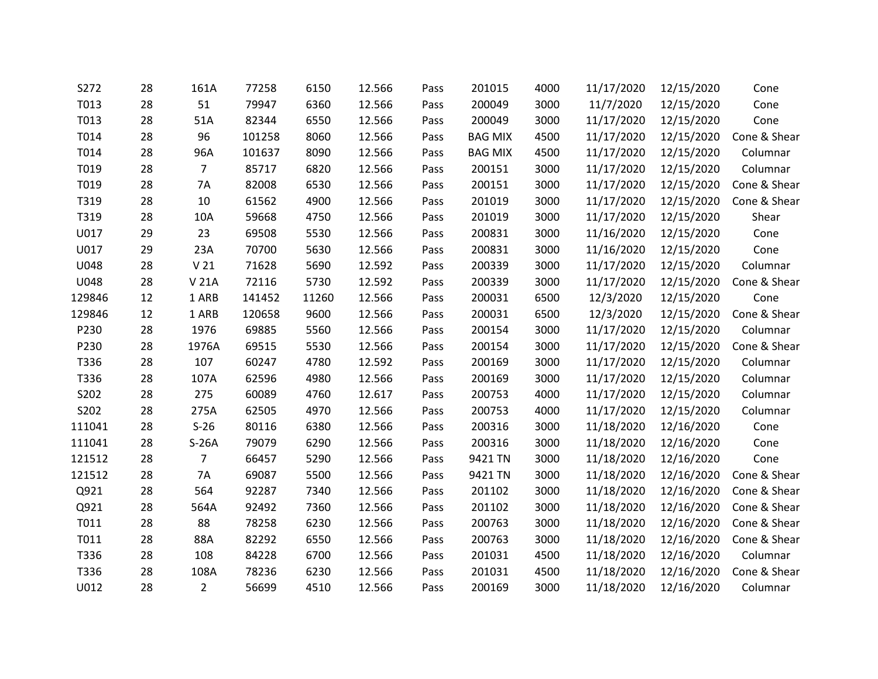| S272   | 28 | 161A            | 77258  | 6150  | 12.566 | Pass | 201015         | 4000 | 11/17/2020 | 12/15/2020 | Cone         |
|--------|----|-----------------|--------|-------|--------|------|----------------|------|------------|------------|--------------|
| T013   | 28 | 51              | 79947  | 6360  | 12.566 | Pass | 200049         | 3000 | 11/7/2020  | 12/15/2020 | Cone         |
| T013   | 28 | 51A             | 82344  | 6550  | 12.566 | Pass | 200049         | 3000 | 11/17/2020 | 12/15/2020 | Cone         |
| T014   | 28 | 96              | 101258 | 8060  | 12.566 | Pass | <b>BAG MIX</b> | 4500 | 11/17/2020 | 12/15/2020 | Cone & Shear |
| T014   | 28 | 96A             | 101637 | 8090  | 12.566 | Pass | <b>BAG MIX</b> | 4500 | 11/17/2020 | 12/15/2020 | Columnar     |
| T019   | 28 | $\overline{7}$  | 85717  | 6820  | 12.566 | Pass | 200151         | 3000 | 11/17/2020 | 12/15/2020 | Columnar     |
| T019   | 28 | <b>7A</b>       | 82008  | 6530  | 12.566 | Pass | 200151         | 3000 | 11/17/2020 | 12/15/2020 | Cone & Shear |
| T319   | 28 | 10              | 61562  | 4900  | 12.566 | Pass | 201019         | 3000 | 11/17/2020 | 12/15/2020 | Cone & Shear |
| T319   | 28 | 10A             | 59668  | 4750  | 12.566 | Pass | 201019         | 3000 | 11/17/2020 | 12/15/2020 | Shear        |
| U017   | 29 | 23              | 69508  | 5530  | 12.566 | Pass | 200831         | 3000 | 11/16/2020 | 12/15/2020 | Cone         |
| U017   | 29 | 23A             | 70700  | 5630  | 12.566 | Pass | 200831         | 3000 | 11/16/2020 | 12/15/2020 | Cone         |
| U048   | 28 | V <sub>21</sub> | 71628  | 5690  | 12.592 | Pass | 200339         | 3000 | 11/17/2020 | 12/15/2020 | Columnar     |
| U048   | 28 | V 21A           | 72116  | 5730  | 12.592 | Pass | 200339         | 3000 | 11/17/2020 | 12/15/2020 | Cone & Shear |
| 129846 | 12 | 1 ARB           | 141452 | 11260 | 12.566 | Pass | 200031         | 6500 | 12/3/2020  | 12/15/2020 | Cone         |
| 129846 | 12 | 1 ARB           | 120658 | 9600  | 12.566 | Pass | 200031         | 6500 | 12/3/2020  | 12/15/2020 | Cone & Shear |
| P230   | 28 | 1976            | 69885  | 5560  | 12.566 | Pass | 200154         | 3000 | 11/17/2020 | 12/15/2020 | Columnar     |
| P230   | 28 | 1976A           | 69515  | 5530  | 12.566 | Pass | 200154         | 3000 | 11/17/2020 | 12/15/2020 | Cone & Shear |
| T336   | 28 | 107             | 60247  | 4780  | 12.592 | Pass | 200169         | 3000 | 11/17/2020 | 12/15/2020 | Columnar     |
| T336   | 28 | 107A            | 62596  | 4980  | 12.566 | Pass | 200169         | 3000 | 11/17/2020 | 12/15/2020 | Columnar     |
| S202   | 28 | 275             | 60089  | 4760  | 12.617 | Pass | 200753         | 4000 | 11/17/2020 | 12/15/2020 | Columnar     |
| S202   | 28 | 275A            | 62505  | 4970  | 12.566 | Pass | 200753         | 4000 | 11/17/2020 | 12/15/2020 | Columnar     |
| 111041 | 28 | $S-26$          | 80116  | 6380  | 12.566 | Pass | 200316         | 3000 | 11/18/2020 | 12/16/2020 | Cone         |
| 111041 | 28 | $S-26A$         | 79079  | 6290  | 12.566 | Pass | 200316         | 3000 | 11/18/2020 | 12/16/2020 | Cone         |
| 121512 | 28 | $\overline{7}$  | 66457  | 5290  | 12.566 | Pass | 9421 TN        | 3000 | 11/18/2020 | 12/16/2020 | Cone         |
| 121512 | 28 | 7A              | 69087  | 5500  | 12.566 | Pass | 9421 TN        | 3000 | 11/18/2020 | 12/16/2020 | Cone & Shear |
| Q921   | 28 | 564             | 92287  | 7340  | 12.566 | Pass | 201102         | 3000 | 11/18/2020 | 12/16/2020 | Cone & Shear |
| Q921   | 28 | 564A            | 92492  | 7360  | 12.566 | Pass | 201102         | 3000 | 11/18/2020 | 12/16/2020 | Cone & Shear |
| T011   | 28 | 88              | 78258  | 6230  | 12.566 | Pass | 200763         | 3000 | 11/18/2020 | 12/16/2020 | Cone & Shear |
| T011   | 28 | 88A             | 82292  | 6550  | 12.566 | Pass | 200763         | 3000 | 11/18/2020 | 12/16/2020 | Cone & Shear |
| T336   | 28 | 108             | 84228  | 6700  | 12.566 | Pass | 201031         | 4500 | 11/18/2020 | 12/16/2020 | Columnar     |
| T336   | 28 | 108A            | 78236  | 6230  | 12.566 | Pass | 201031         | 4500 | 11/18/2020 | 12/16/2020 | Cone & Shear |
| U012   | 28 | $\overline{2}$  | 56699  | 4510  | 12.566 | Pass | 200169         | 3000 | 11/18/2020 | 12/16/2020 | Columnar     |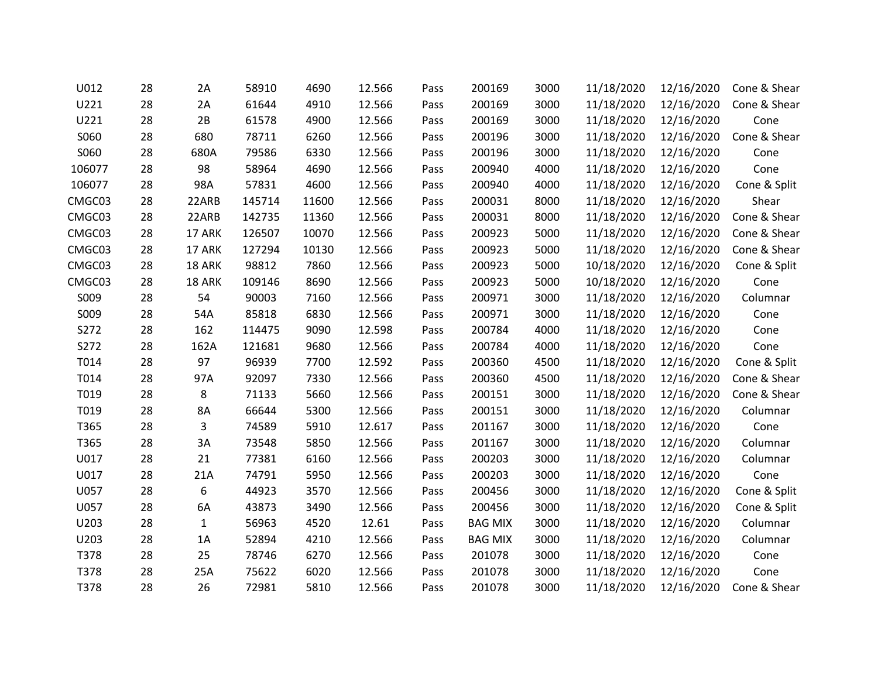| U012   | 28 | 2A           | 58910  | 4690  | 12.566 | Pass | 200169         | 3000 | 11/18/2020 | 12/16/2020 | Cone & Shear |
|--------|----|--------------|--------|-------|--------|------|----------------|------|------------|------------|--------------|
| U221   | 28 | 2A           | 61644  | 4910  | 12.566 | Pass | 200169         | 3000 | 11/18/2020 | 12/16/2020 | Cone & Shear |
| U221   | 28 | 2B           | 61578  | 4900  | 12.566 | Pass | 200169         | 3000 | 11/18/2020 | 12/16/2020 | Cone         |
| S060   | 28 | 680          | 78711  | 6260  | 12.566 | Pass | 200196         | 3000 | 11/18/2020 | 12/16/2020 | Cone & Shear |
| S060   | 28 | 680A         | 79586  | 6330  | 12.566 | Pass | 200196         | 3000 | 11/18/2020 | 12/16/2020 | Cone         |
| 106077 | 28 | 98           | 58964  | 4690  | 12.566 | Pass | 200940         | 4000 | 11/18/2020 | 12/16/2020 | Cone         |
| 106077 | 28 | 98A          | 57831  | 4600  | 12.566 | Pass | 200940         | 4000 | 11/18/2020 | 12/16/2020 | Cone & Split |
| CMGC03 | 28 | 22ARB        | 145714 | 11600 | 12.566 | Pass | 200031         | 8000 | 11/18/2020 | 12/16/2020 | Shear        |
| CMGC03 | 28 | 22ARB        | 142735 | 11360 | 12.566 | Pass | 200031         | 8000 | 11/18/2020 | 12/16/2020 | Cone & Shear |
| CMGC03 | 28 | 17 ARK       | 126507 | 10070 | 12.566 | Pass | 200923         | 5000 | 11/18/2020 | 12/16/2020 | Cone & Shear |
| CMGC03 | 28 | 17 ARK       | 127294 | 10130 | 12.566 | Pass | 200923         | 5000 | 11/18/2020 | 12/16/2020 | Cone & Shear |
| CMGC03 | 28 | 18 ARK       | 98812  | 7860  | 12.566 | Pass | 200923         | 5000 | 10/18/2020 | 12/16/2020 | Cone & Split |
| CMGC03 | 28 | 18 ARK       | 109146 | 8690  | 12.566 | Pass | 200923         | 5000 | 10/18/2020 | 12/16/2020 | Cone         |
| S009   | 28 | 54           | 90003  | 7160  | 12.566 | Pass | 200971         | 3000 | 11/18/2020 | 12/16/2020 | Columnar     |
| S009   | 28 | 54A          | 85818  | 6830  | 12.566 | Pass | 200971         | 3000 | 11/18/2020 | 12/16/2020 | Cone         |
| S272   | 28 | 162          | 114475 | 9090  | 12.598 | Pass | 200784         | 4000 | 11/18/2020 | 12/16/2020 | Cone         |
| S272   | 28 | 162A         | 121681 | 9680  | 12.566 | Pass | 200784         | 4000 | 11/18/2020 | 12/16/2020 | Cone         |
| T014   | 28 | 97           | 96939  | 7700  | 12.592 | Pass | 200360         | 4500 | 11/18/2020 | 12/16/2020 | Cone & Split |
| T014   | 28 | 97A          | 92097  | 7330  | 12.566 | Pass | 200360         | 4500 | 11/18/2020 | 12/16/2020 | Cone & Shear |
| T019   | 28 | 8            | 71133  | 5660  | 12.566 | Pass | 200151         | 3000 | 11/18/2020 | 12/16/2020 | Cone & Shear |
| T019   | 28 | 8A           | 66644  | 5300  | 12.566 | Pass | 200151         | 3000 | 11/18/2020 | 12/16/2020 | Columnar     |
| T365   | 28 | 3            | 74589  | 5910  | 12.617 | Pass | 201167         | 3000 | 11/18/2020 | 12/16/2020 | Cone         |
| T365   | 28 | $3A$         | 73548  | 5850  | 12.566 | Pass | 201167         | 3000 | 11/18/2020 | 12/16/2020 | Columnar     |
| U017   | 28 | 21           | 77381  | 6160  | 12.566 | Pass | 200203         | 3000 | 11/18/2020 | 12/16/2020 | Columnar     |
| U017   | 28 | 21A          | 74791  | 5950  | 12.566 | Pass | 200203         | 3000 | 11/18/2020 | 12/16/2020 | Cone         |
| U057   | 28 | 6            | 44923  | 3570  | 12.566 | Pass | 200456         | 3000 | 11/18/2020 | 12/16/2020 | Cone & Split |
| U057   | 28 | 6A           | 43873  | 3490  | 12.566 | Pass | 200456         | 3000 | 11/18/2020 | 12/16/2020 | Cone & Split |
| U203   | 28 | $\mathbf{1}$ | 56963  | 4520  | 12.61  | Pass | <b>BAG MIX</b> | 3000 | 11/18/2020 | 12/16/2020 | Columnar     |
| U203   | 28 | 1A           | 52894  | 4210  | 12.566 | Pass | <b>BAG MIX</b> | 3000 | 11/18/2020 | 12/16/2020 | Columnar     |
| T378   | 28 | 25           | 78746  | 6270  | 12.566 | Pass | 201078         | 3000 | 11/18/2020 | 12/16/2020 | Cone         |
| T378   | 28 | 25A          | 75622  | 6020  | 12.566 | Pass | 201078         | 3000 | 11/18/2020 | 12/16/2020 | Cone         |
| T378   | 28 | 26           | 72981  | 5810  | 12.566 | Pass | 201078         | 3000 | 11/18/2020 | 12/16/2020 | Cone & Shear |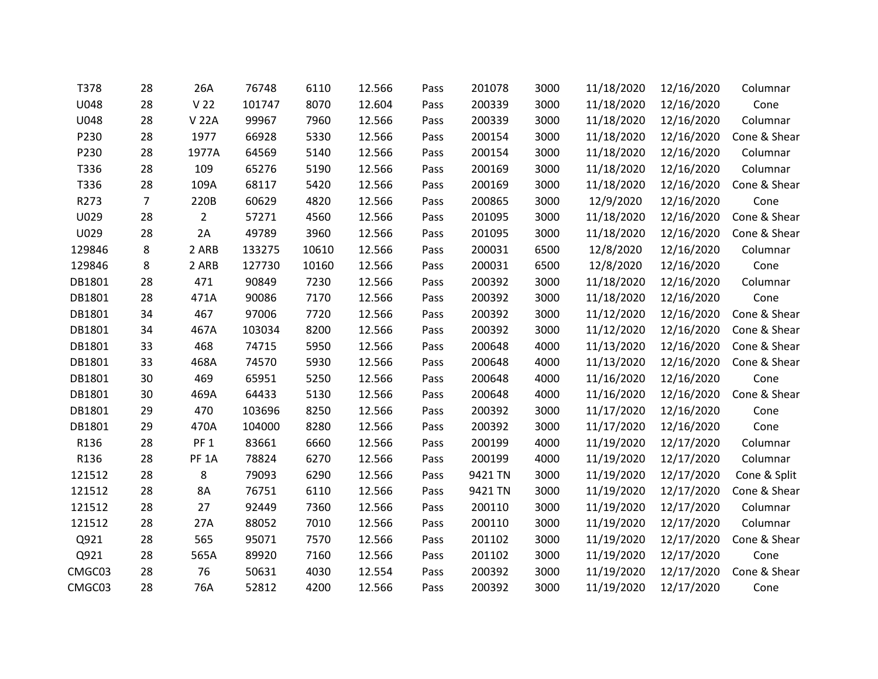| T378        | 28             | 26A               | 76748  | 6110  | 12.566 | Pass | 201078  | 3000 | 11/18/2020 | 12/16/2020 | Columnar     |
|-------------|----------------|-------------------|--------|-------|--------|------|---------|------|------------|------------|--------------|
| <b>U048</b> | 28             | V <sub>22</sub>   | 101747 | 8070  | 12.604 | Pass | 200339  | 3000 | 11/18/2020 | 12/16/2020 | Cone         |
| U048        | 28             | <b>V22A</b>       | 99967  | 7960  | 12.566 | Pass | 200339  | 3000 | 11/18/2020 | 12/16/2020 | Columnar     |
| P230        | 28             | 1977              | 66928  | 5330  | 12.566 | Pass | 200154  | 3000 | 11/18/2020 | 12/16/2020 | Cone & Shear |
| P230        | 28             | 1977A             | 64569  | 5140  | 12.566 | Pass | 200154  | 3000 | 11/18/2020 | 12/16/2020 | Columnar     |
| T336        | 28             | 109               | 65276  | 5190  | 12.566 | Pass | 200169  | 3000 | 11/18/2020 | 12/16/2020 | Columnar     |
| T336        | 28             | 109A              | 68117  | 5420  | 12.566 | Pass | 200169  | 3000 | 11/18/2020 | 12/16/2020 | Cone & Shear |
| R273        | $\overline{7}$ | 220B              | 60629  | 4820  | 12.566 | Pass | 200865  | 3000 | 12/9/2020  | 12/16/2020 | Cone         |
| U029        | 28             | $\overline{2}$    | 57271  | 4560  | 12.566 | Pass | 201095  | 3000 | 11/18/2020 | 12/16/2020 | Cone & Shear |
| U029        | 28             | 2A                | 49789  | 3960  | 12.566 | Pass | 201095  | 3000 | 11/18/2020 | 12/16/2020 | Cone & Shear |
| 129846      | 8              | 2 ARB             | 133275 | 10610 | 12.566 | Pass | 200031  | 6500 | 12/8/2020  | 12/16/2020 | Columnar     |
| 129846      | 8              | 2 ARB             | 127730 | 10160 | 12.566 | Pass | 200031  | 6500 | 12/8/2020  | 12/16/2020 | Cone         |
| DB1801      | 28             | 471               | 90849  | 7230  | 12.566 | Pass | 200392  | 3000 | 11/18/2020 | 12/16/2020 | Columnar     |
| DB1801      | 28             | 471A              | 90086  | 7170  | 12.566 | Pass | 200392  | 3000 | 11/18/2020 | 12/16/2020 | Cone         |
| DB1801      | 34             | 467               | 97006  | 7720  | 12.566 | Pass | 200392  | 3000 | 11/12/2020 | 12/16/2020 | Cone & Shear |
| DB1801      | 34             | 467A              | 103034 | 8200  | 12.566 | Pass | 200392  | 3000 | 11/12/2020 | 12/16/2020 | Cone & Shear |
| DB1801      | 33             | 468               | 74715  | 5950  | 12.566 | Pass | 200648  | 4000 | 11/13/2020 | 12/16/2020 | Cone & Shear |
| DB1801      | 33             | 468A              | 74570  | 5930  | 12.566 | Pass | 200648  | 4000 | 11/13/2020 | 12/16/2020 | Cone & Shear |
| DB1801      | 30             | 469               | 65951  | 5250  | 12.566 | Pass | 200648  | 4000 | 11/16/2020 | 12/16/2020 | Cone         |
| DB1801      | 30             | 469A              | 64433  | 5130  | 12.566 | Pass | 200648  | 4000 | 11/16/2020 | 12/16/2020 | Cone & Shear |
| DB1801      | 29             | 470               | 103696 | 8250  | 12.566 | Pass | 200392  | 3000 | 11/17/2020 | 12/16/2020 | Cone         |
| DB1801      | 29             | 470A              | 104000 | 8280  | 12.566 | Pass | 200392  | 3000 | 11/17/2020 | 12/16/2020 | Cone         |
| R136        | 28             | PF <sub>1</sub>   | 83661  | 6660  | 12.566 | Pass | 200199  | 4000 | 11/19/2020 | 12/17/2020 | Columnar     |
| R136        | 28             | PF <sub>1</sub> A | 78824  | 6270  | 12.566 | Pass | 200199  | 4000 | 11/19/2020 | 12/17/2020 | Columnar     |
| 121512      | 28             | 8                 | 79093  | 6290  | 12.566 | Pass | 9421 TN | 3000 | 11/19/2020 | 12/17/2020 | Cone & Split |
| 121512      | 28             | 8A                | 76751  | 6110  | 12.566 | Pass | 9421 TN | 3000 | 11/19/2020 | 12/17/2020 | Cone & Shear |
| 121512      | 28             | 27                | 92449  | 7360  | 12.566 | Pass | 200110  | 3000 | 11/19/2020 | 12/17/2020 | Columnar     |
| 121512      | 28             | 27A               | 88052  | 7010  | 12.566 | Pass | 200110  | 3000 | 11/19/2020 | 12/17/2020 | Columnar     |
| Q921        | 28             | 565               | 95071  | 7570  | 12.566 | Pass | 201102  | 3000 | 11/19/2020 | 12/17/2020 | Cone & Shear |
| Q921        | 28             | 565A              | 89920  | 7160  | 12.566 | Pass | 201102  | 3000 | 11/19/2020 | 12/17/2020 | Cone         |
| CMGC03      | 28             | 76                | 50631  | 4030  | 12.554 | Pass | 200392  | 3000 | 11/19/2020 | 12/17/2020 | Cone & Shear |
| CMGC03      | 28             | 76A               | 52812  | 4200  | 12.566 | Pass | 200392  | 3000 | 11/19/2020 | 12/17/2020 | Cone         |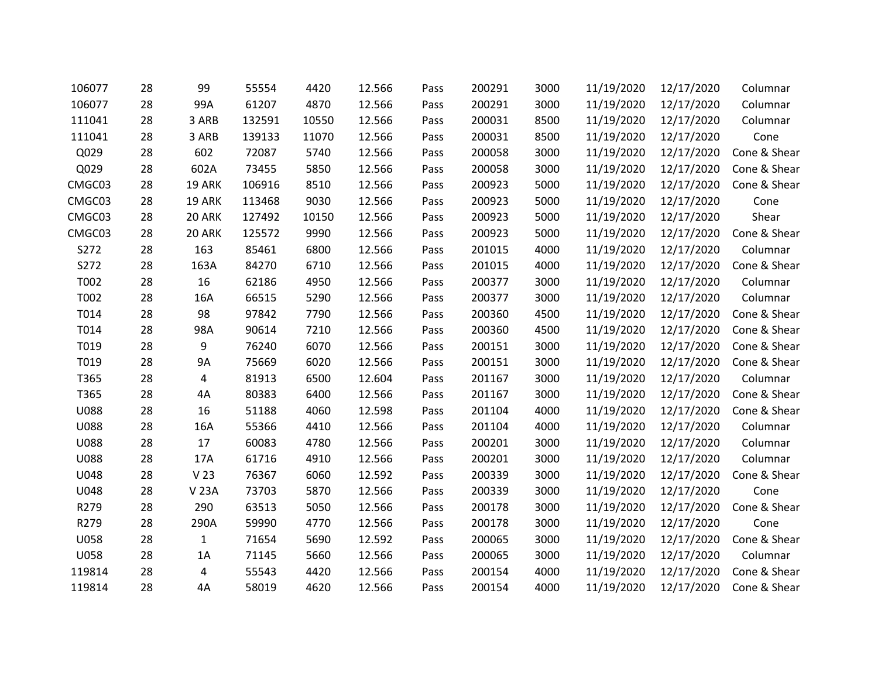| 106077      | 28 | 99              | 55554  | 4420  | 12.566 | Pass | 200291 | 3000 | 11/19/2020 | 12/17/2020 | Columnar     |
|-------------|----|-----------------|--------|-------|--------|------|--------|------|------------|------------|--------------|
| 106077      | 28 | 99A             | 61207  | 4870  | 12.566 | Pass | 200291 | 3000 | 11/19/2020 | 12/17/2020 | Columnar     |
| 111041      | 28 | 3 ARB           | 132591 | 10550 | 12.566 | Pass | 200031 | 8500 | 11/19/2020 | 12/17/2020 | Columnar     |
| 111041      | 28 | 3 ARB           | 139133 | 11070 | 12.566 | Pass | 200031 | 8500 | 11/19/2020 | 12/17/2020 | Cone         |
| Q029        | 28 | 602             | 72087  | 5740  | 12.566 | Pass | 200058 | 3000 | 11/19/2020 | 12/17/2020 | Cone & Shear |
| Q029        | 28 | 602A            | 73455  | 5850  | 12.566 | Pass | 200058 | 3000 | 11/19/2020 | 12/17/2020 | Cone & Shear |
| CMGC03      | 28 | 19 ARK          | 106916 | 8510  | 12.566 | Pass | 200923 | 5000 | 11/19/2020 | 12/17/2020 | Cone & Shear |
| CMGC03      | 28 | <b>19 ARK</b>   | 113468 | 9030  | 12.566 | Pass | 200923 | 5000 | 11/19/2020 | 12/17/2020 | Cone         |
| CMGC03      | 28 | 20 ARK          | 127492 | 10150 | 12.566 | Pass | 200923 | 5000 | 11/19/2020 | 12/17/2020 | Shear        |
| CMGC03      | 28 | 20 ARK          | 125572 | 9990  | 12.566 | Pass | 200923 | 5000 | 11/19/2020 | 12/17/2020 | Cone & Shear |
| S272        | 28 | 163             | 85461  | 6800  | 12.566 | Pass | 201015 | 4000 | 11/19/2020 | 12/17/2020 | Columnar     |
| S272        | 28 | 163A            | 84270  | 6710  | 12.566 | Pass | 201015 | 4000 | 11/19/2020 | 12/17/2020 | Cone & Shear |
| T002        | 28 | 16              | 62186  | 4950  | 12.566 | Pass | 200377 | 3000 | 11/19/2020 | 12/17/2020 | Columnar     |
| T002        | 28 | 16A             | 66515  | 5290  | 12.566 | Pass | 200377 | 3000 | 11/19/2020 | 12/17/2020 | Columnar     |
| T014        | 28 | 98              | 97842  | 7790  | 12.566 | Pass | 200360 | 4500 | 11/19/2020 | 12/17/2020 | Cone & Shear |
| T014        | 28 | 98A             | 90614  | 7210  | 12.566 | Pass | 200360 | 4500 | 11/19/2020 | 12/17/2020 | Cone & Shear |
| T019        | 28 | 9               | 76240  | 6070  | 12.566 | Pass | 200151 | 3000 | 11/19/2020 | 12/17/2020 | Cone & Shear |
| T019        | 28 | <b>9A</b>       | 75669  | 6020  | 12.566 | Pass | 200151 | 3000 | 11/19/2020 | 12/17/2020 | Cone & Shear |
| T365        | 28 | 4               | 81913  | 6500  | 12.604 | Pass | 201167 | 3000 | 11/19/2020 | 12/17/2020 | Columnar     |
| T365        | 28 | 4A              | 80383  | 6400  | 12.566 | Pass | 201167 | 3000 | 11/19/2020 | 12/17/2020 | Cone & Shear |
| <b>U088</b> | 28 | 16              | 51188  | 4060  | 12.598 | Pass | 201104 | 4000 | 11/19/2020 | 12/17/2020 | Cone & Shear |
| <b>U088</b> | 28 | 16A             | 55366  | 4410  | 12.566 | Pass | 201104 | 4000 | 11/19/2020 | 12/17/2020 | Columnar     |
| <b>U088</b> | 28 | 17              | 60083  | 4780  | 12.566 | Pass | 200201 | 3000 | 11/19/2020 | 12/17/2020 | Columnar     |
| <b>U088</b> | 28 | 17A             | 61716  | 4910  | 12.566 | Pass | 200201 | 3000 | 11/19/2020 | 12/17/2020 | Columnar     |
| U048        | 28 | V <sub>23</sub> | 76367  | 6060  | 12.592 | Pass | 200339 | 3000 | 11/19/2020 | 12/17/2020 | Cone & Shear |
| U048        | 28 | <b>V23A</b>     | 73703  | 5870  | 12.566 | Pass | 200339 | 3000 | 11/19/2020 | 12/17/2020 | Cone         |
| R279        | 28 | 290             | 63513  | 5050  | 12.566 | Pass | 200178 | 3000 | 11/19/2020 | 12/17/2020 | Cone & Shear |
| R279        | 28 | 290A            | 59990  | 4770  | 12.566 | Pass | 200178 | 3000 | 11/19/2020 | 12/17/2020 | Cone         |
| <b>U058</b> | 28 | $\mathbf{1}$    | 71654  | 5690  | 12.592 | Pass | 200065 | 3000 | 11/19/2020 | 12/17/2020 | Cone & Shear |
| U058        | 28 | 1A              | 71145  | 5660  | 12.566 | Pass | 200065 | 3000 | 11/19/2020 | 12/17/2020 | Columnar     |
| 119814      | 28 | 4               | 55543  | 4420  | 12.566 | Pass | 200154 | 4000 | 11/19/2020 | 12/17/2020 | Cone & Shear |
| 119814      | 28 | 4A              | 58019  | 4620  | 12.566 | Pass | 200154 | 4000 | 11/19/2020 | 12/17/2020 | Cone & Shear |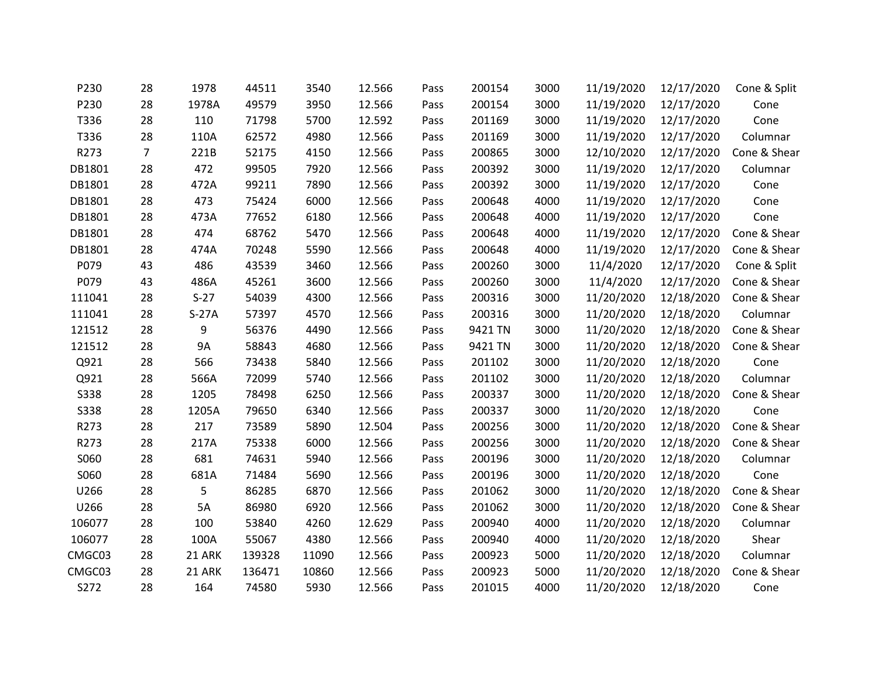| P230        | 28 | 1978    | 44511  | 3540  | 12.566 | Pass | 200154  | 3000 | 11/19/2020 | 12/17/2020 | Cone & Split |
|-------------|----|---------|--------|-------|--------|------|---------|------|------------|------------|--------------|
| P230        | 28 | 1978A   | 49579  | 3950  | 12.566 | Pass | 200154  | 3000 | 11/19/2020 | 12/17/2020 | Cone         |
| T336        | 28 | 110     | 71798  | 5700  | 12.592 | Pass | 201169  | 3000 | 11/19/2020 | 12/17/2020 | Cone         |
| T336        | 28 | 110A    | 62572  | 4980  | 12.566 | Pass | 201169  | 3000 | 11/19/2020 | 12/17/2020 | Columnar     |
| R273        | 7  | 221B    | 52175  | 4150  | 12.566 | Pass | 200865  | 3000 | 12/10/2020 | 12/17/2020 | Cone & Shear |
| DB1801      | 28 | 472     | 99505  | 7920  | 12.566 | Pass | 200392  | 3000 | 11/19/2020 | 12/17/2020 | Columnar     |
| DB1801      | 28 | 472A    | 99211  | 7890  | 12.566 | Pass | 200392  | 3000 | 11/19/2020 | 12/17/2020 | Cone         |
| DB1801      | 28 | 473     | 75424  | 6000  | 12.566 | Pass | 200648  | 4000 | 11/19/2020 | 12/17/2020 | Cone         |
| DB1801      | 28 | 473A    | 77652  | 6180  | 12.566 | Pass | 200648  | 4000 | 11/19/2020 | 12/17/2020 | Cone         |
| DB1801      | 28 | 474     | 68762  | 5470  | 12.566 | Pass | 200648  | 4000 | 11/19/2020 | 12/17/2020 | Cone & Shear |
| DB1801      | 28 | 474A    | 70248  | 5590  | 12.566 | Pass | 200648  | 4000 | 11/19/2020 | 12/17/2020 | Cone & Shear |
| P079        | 43 | 486     | 43539  | 3460  | 12.566 | Pass | 200260  | 3000 | 11/4/2020  | 12/17/2020 | Cone & Split |
| P079        | 43 | 486A    | 45261  | 3600  | 12.566 | Pass | 200260  | 3000 | 11/4/2020  | 12/17/2020 | Cone & Shear |
| 111041      | 28 | $S-27$  | 54039  | 4300  | 12.566 | Pass | 200316  | 3000 | 11/20/2020 | 12/18/2020 | Cone & Shear |
| 111041      | 28 | $S-27A$ | 57397  | 4570  | 12.566 | Pass | 200316  | 3000 | 11/20/2020 | 12/18/2020 | Columnar     |
| 121512      | 28 | 9       | 56376  | 4490  | 12.566 | Pass | 9421 TN | 3000 | 11/20/2020 | 12/18/2020 | Cone & Shear |
| 121512      | 28 | 9A      | 58843  | 4680  | 12.566 | Pass | 9421 TN | 3000 | 11/20/2020 | 12/18/2020 | Cone & Shear |
| Q921        | 28 | 566     | 73438  | 5840  | 12.566 | Pass | 201102  | 3000 | 11/20/2020 | 12/18/2020 | Cone         |
| Q921        | 28 | 566A    | 72099  | 5740  | 12.566 | Pass | 201102  | 3000 | 11/20/2020 | 12/18/2020 | Columnar     |
| <b>S338</b> | 28 | 1205    | 78498  | 6250  | 12.566 | Pass | 200337  | 3000 | 11/20/2020 | 12/18/2020 | Cone & Shear |
| <b>S338</b> | 28 | 1205A   | 79650  | 6340  | 12.566 | Pass | 200337  | 3000 | 11/20/2020 | 12/18/2020 | Cone         |
| R273        | 28 | 217     | 73589  | 5890  | 12.504 | Pass | 200256  | 3000 | 11/20/2020 | 12/18/2020 | Cone & Shear |
| R273        | 28 | 217A    | 75338  | 6000  | 12.566 | Pass | 200256  | 3000 | 11/20/2020 | 12/18/2020 | Cone & Shear |
| S060        | 28 | 681     | 74631  | 5940  | 12.566 | Pass | 200196  | 3000 | 11/20/2020 | 12/18/2020 | Columnar     |
| S060        | 28 | 681A    | 71484  | 5690  | 12.566 | Pass | 200196  | 3000 | 11/20/2020 | 12/18/2020 | Cone         |
| U266        | 28 | 5       | 86285  | 6870  | 12.566 | Pass | 201062  | 3000 | 11/20/2020 | 12/18/2020 | Cone & Shear |
| U266        | 28 | 5A      | 86980  | 6920  | 12.566 | Pass | 201062  | 3000 | 11/20/2020 | 12/18/2020 | Cone & Shear |
| 106077      | 28 | 100     | 53840  | 4260  | 12.629 | Pass | 200940  | 4000 | 11/20/2020 | 12/18/2020 | Columnar     |
| 106077      | 28 | 100A    | 55067  | 4380  | 12.566 | Pass | 200940  | 4000 | 11/20/2020 | 12/18/2020 | Shear        |
| CMGC03      | 28 | 21 ARK  | 139328 | 11090 | 12.566 | Pass | 200923  | 5000 | 11/20/2020 | 12/18/2020 | Columnar     |
| CMGC03      | 28 | 21 ARK  | 136471 | 10860 | 12.566 | Pass | 200923  | 5000 | 11/20/2020 | 12/18/2020 | Cone & Shear |
| S272        | 28 | 164     | 74580  | 5930  | 12.566 | Pass | 201015  | 4000 | 11/20/2020 | 12/18/2020 | Cone         |